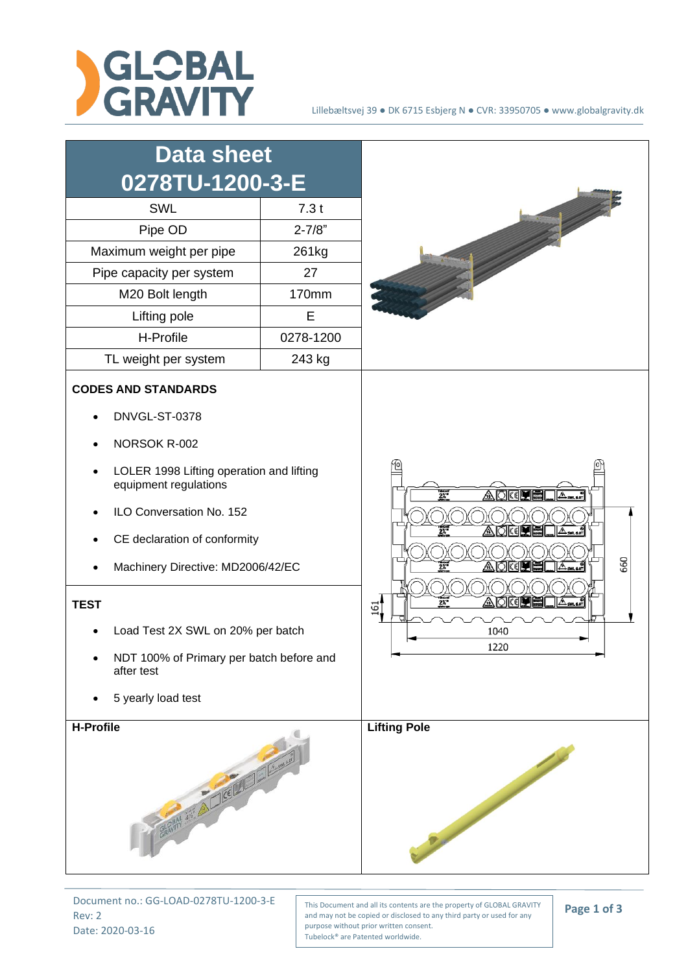



Document no.: GG-LOAD-0278TU-1200-3-E Rev: 2 Date: 2020-03-16

This Document and all its contents are the property of GLOBAL GRAVITY and may not be copied or disclosed to any third party or used for any purpose without prior written consent. Tubelock® are Patented worldwide.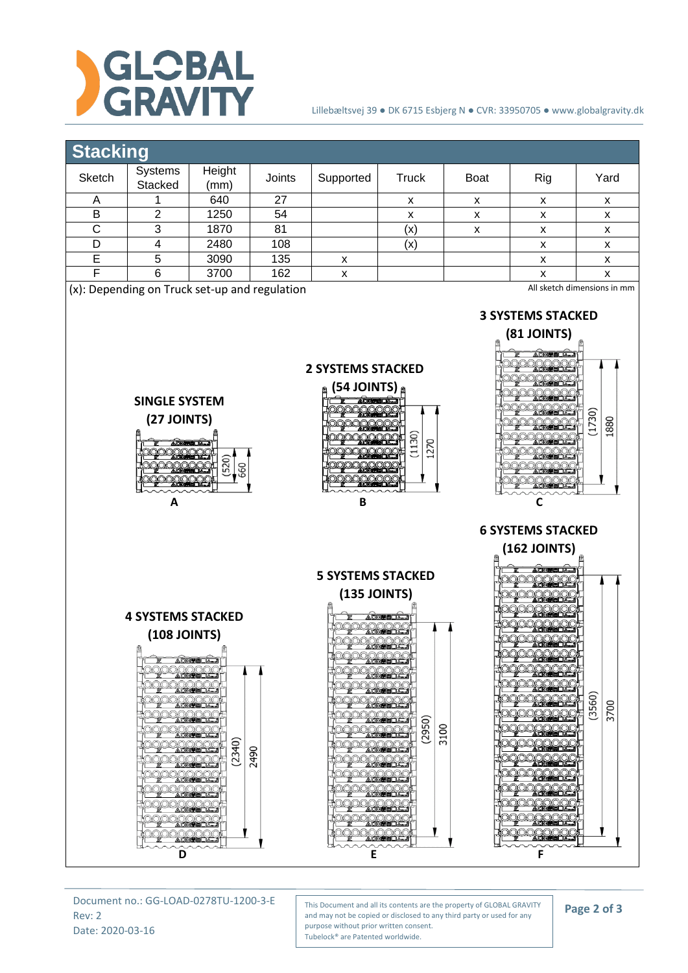

## Lillebæltsvej 39 ● DK 6715 Esbjerg N ● CVR: 33950705 ● www.globalgravity.dk

## **Stacking**



Document no.: GG-LOAD-0278TU-1200-3-E Rev: 2 Date: 2020-03-16

This Document and all its contents are the property of GLOBAL GRAVITY and may not be copied or disclosed to any third party or used for any purpose without prior written consent. Tubelock® are Patented worldwide.

## **Page 2 of 3**